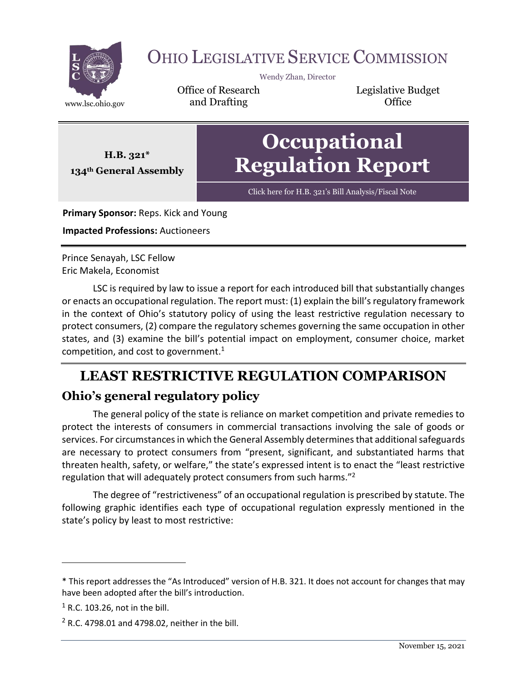

# OHIO LEGISLATIVE SERVICE COMMISSION

Wendy Zhan, Director

Office of Research www.lsc.ohio.gov **and Drafting Construction Office** 

Legislative Budget

**Occupational Regulation Report**

Click here for H.B. [321's Bill Analysis/Fiscal Note](https://www.legislature.ohio.gov/legislation/legislation-documents?id=GA134-HB-321)

**Primary Sponsor:** Reps. Kick and Young

**Impacted Professions:** Auctioneers

**H.B. 321\* 134th General Assembly**

Prince Senayah, LSC Fellow Eric Makela, Economist

LSC is required by law to issue a report for each introduced bill that substantially changes or enacts an occupational regulation. The report must: (1) explain the bill's regulatory framework in the context of Ohio's statutory policy of using the least restrictive regulation necessary to protect consumers, (2) compare the regulatory schemes governing the same occupation in other states, and (3) examine the bill's potential impact on employment, consumer choice, market competition, and cost to government.<sup>1</sup>

# **LEAST RESTRICTIVE REGULATION COMPARISON Ohio's general regulatory policy**

The general policy of the state is reliance on market competition and private remedies to protect the interests of consumers in commercial transactions involving the sale of goods or services. For circumstances in which the General Assembly determines that additional safeguards are necessary to protect consumers from "present, significant, and substantiated harms that threaten health, safety, or welfare," the state's expressed intent is to enact the "least restrictive regulation that will adequately protect consumers from such harms."<sup>2</sup>

The degree of "restrictiveness" of an occupational regulation is prescribed by statute. The following graphic identifies each type of occupational regulation expressly mentioned in the state's policy by least to most restrictive:

<sup>\*</sup> This report addresses the "As Introduced" version of H.B. 321. It does not account for changes that may have been adopted after the bill's introduction.

 $<sup>1</sup>$  R.C. 103.26, not in the bill.</sup>

 $2$  R.C. 4798.01 and 4798.02, neither in the bill.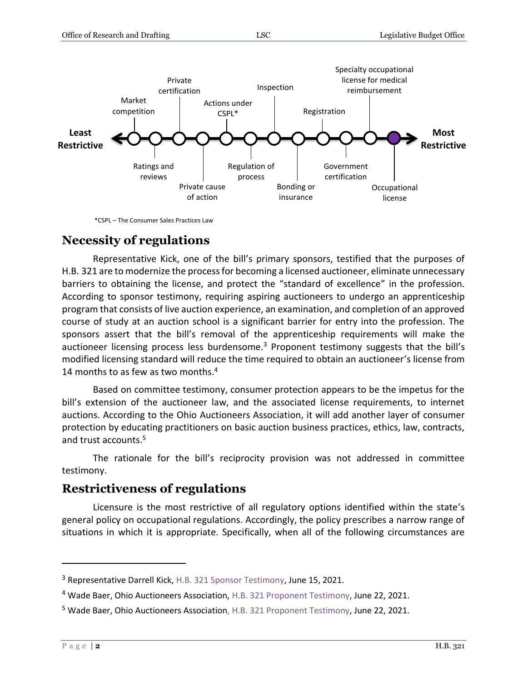

\*CSPL – The Consumer Sales Practices Law

### **Necessity of regulations**

Representative Kick, one of the bill's primary sponsors, testified that the purposes of H.B. 321 are to modernize the process for becoming a licensed auctioneer, eliminate unnecessary barriers to obtaining the license, and protect the "standard of excellence" in the profession. According to sponsor testimony, requiring aspiring auctioneers to undergo an apprenticeship program that consists of live auction experience, an examination, and completion of an approved course of study at an auction school is a significant barrier for entry into the profession. The sponsors assert that the bill's removal of the apprenticeship requirements will make the auctioneer licensing process less burdensome.<sup>3</sup> Proponent testimony suggests that the bill's modified licensing standard will reduce the time required to obtain an auctioneer's license from 14 months to as few as two months.<sup>4</sup>

Based on committee testimony, consumer protection appears to be the impetus for the bill's extension of the auctioneer law, and the associated license requirements, to internet auctions. According to the Ohio Auctioneers Association, it will add another layer of consumer protection by educating practitioners on basic auction business practices, ethics, law, contracts, and trust accounts.<sup>5</sup>

The rationale for the bill's reciprocity provision was not addressed in committee testimony.

### **Restrictiveness of regulations**

Licensure is the most restrictive of all regulatory options identified within the state's general policy on occupational regulations. Accordingly, the policy prescribes a narrow range of situations in which it is appropriate. Specifically, when all of the following circumstances are

<sup>&</sup>lt;sup>3</sup> Representative Darrell Kick[, H.B. 321 Sponsor Testimony,](https://www.legislature.ohio.gov/legislation/legislation-committee-documents?id=GA134-HB-321) June 15, 2021.

<sup>&</sup>lt;sup>4</sup> Wade Baer, Ohio Auctioneers Association, [H.B. 321 Proponent Testimony,](https://www.legislature.ohio.gov/legislation/legislation-committee-documents?id=GA134-HB-321) June 22, 2021.

<sup>&</sup>lt;sup>5</sup> Wade Baer, Ohio Auctioneers Associatio[n, H.B. 321 Proponent Testimony,](https://www.legislature.ohio.gov/legislation/legislation-committee-documents?id=GA134-HB-321) June 22, 2021.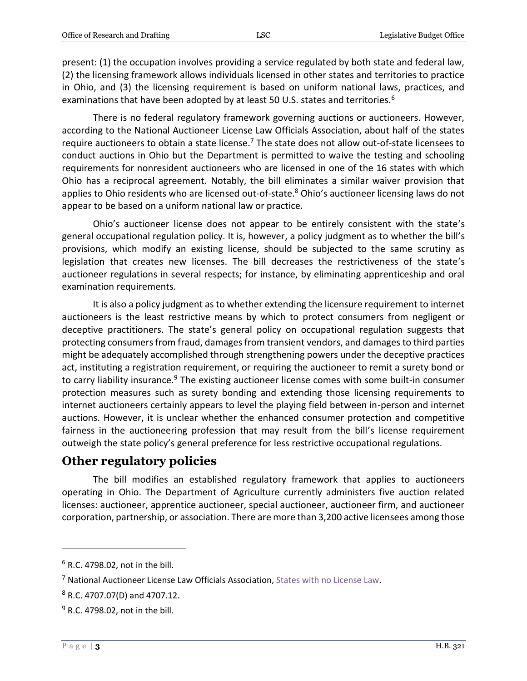present: (1) the occupation involves providing a service regulated by both state and federal law, (2) the licensing framework allows individuals licensed in other states and territories to practice in Ohio, and (3) the licensing requirement is based on uniform national laws, practices, and examinations that have been adopted by at least 50 U.S. states and territories.<sup>6</sup>

There is no federal regulatory framework governing auctions or auctioneers. However, according to the National Auctioneer License Law Officials Association, about half of the states require auctioneers to obtain a state license.<sup>7</sup> The state does not allow out-of-state licensees to conduct auctions in Ohio but the Department is permitted to waive the testing and schooling requirements for nonresident auctioneers who are licensed in one of the 16 states with which Ohio has a reciprocal agreement. Notably, the bill eliminates a similar waiver provision that applies to Ohio residents who are licensed out-of-state.<sup>8</sup> Ohio's auctioneer licensing laws do not appear to be based on a uniform national law or practice.

Ohio's auctioneer license does not appear to be entirely consistent with the state's general occupational regulation policy. It is, however, a policy judgment as to whether the bill's provisions, which modify an existing license, should be subjected to the same scrutiny as legislation that creates new licenses. The bill decreases the restrictiveness of the state's auctioneer regulations in several respects; for instance, by eliminating apprenticeship and oral examination requirements.

It is also a policy judgment as to whether extending the licensure requirement to internet auctioneers is the least restrictive means by which to protect consumers from negligent or deceptive practitioners. The state's general policy on occupational regulation suggests that protecting consumers from fraud, damages from transient vendors, and damages to third parties might be adequately accomplished through strengthening powers under the deceptive practices act, instituting a registration requirement, or requiring the auctioneer to remit a surety bond or to carry liability insurance.<sup>9</sup> The existing auctioneer license comes with some built-in consumer protection measures such as surety bonding and extending those licensing requirements to internet auctioneers certainly appears to level the playing field between in-person and internet auctions. However, it is unclear whether the enhanced consumer protection and competitive fairness in the auctioneering profession that may result from the bill's license requirement outweigh the state policy's general preference for less restrictive occupational regulations.

#### **Other regulatory policies**

The bill modifies an established regulatory framework that applies to auctioneers operating in Ohio. The Department of Agriculture currently administers five auction related licenses: auctioneer, apprentice auctioneer, special auctioneer, auctioneer firm, and auctioneer corporation, partnership, or association. There are more than 3,200 active licensees among those

 $6$  R.C. 4798.02, not in the bill.

<sup>7</sup> National Auctioneer License Law Officials Association, [States with no License Law.](http://www.nalloa.org/category/us-states-with-no-license-law/)

<sup>8</sup> R.C. 4707.07(D) and 4707.12.

<sup>9</sup> R.C. 4798.02, not in the bill.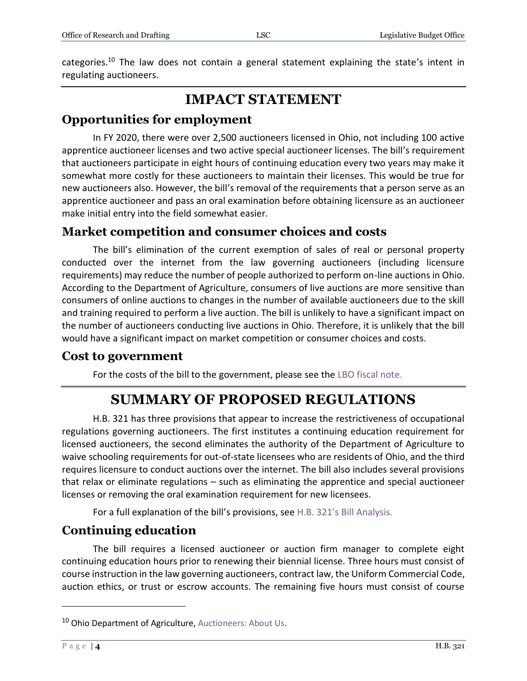categories.<sup>10</sup> The law does not contain a general statement explaining the state's intent in regulating auctioneers.

# **IMPACT STATEMENT**

# **Opportunities for employment**

In FY 2020, there were over 2,500 auctioneers licensed in Ohio, not including 100 active apprentice auctioneer licenses and two active special auctioneer licenses. The bill's requirement that auctioneers participate in eight hours of continuing education every two years may make it somewhat more costly for these auctioneers to maintain their licenses. This would be true for new auctioneers also. However, the bill's removal of the requirements that a person serve as an apprentice auctioneer and pass an oral examination before obtaining licensure as an auctioneer make initial entry into the field somewhat easier.

### **Market competition and consumer choices and costs**

The bill's elimination of the current exemption of sales of real or personal property conducted over the internet from the law governing auctioneers (including licensure requirements) may reduce the number of people authorized to perform on-line auctions in Ohio. According to the Department of Agriculture, consumers of live auctions are more sensitive than consumers of online auctions to changes in the number of available auctioneers due to the skill and training required to perform a live auction. The bill is unlikely to have a significant impact on the number of auctioneers conducting live auctions in Ohio. Therefore, it is unlikely that the bill would have a significant impact on market competition or consumer choices and costs.

#### **Cost to government**

For the costs of the bill to the government, please see the [LBO fiscal note.](https://www.legislature.ohio.gov/download?key=17153&format=pdf)

# **SUMMARY OF PROPOSED REGULATIONS**

H.B. 321 has three provisions that appear to increase the restrictiveness of occupational regulations governing auctioneers. The first institutes a continuing education requirement for licensed auctioneers, the second eliminates the authority of the Department of Agriculture to waive schooling requirements for out-of-state licensees who are residents of Ohio, and the third requires licensure to conduct auctions over the internet. The bill also includes several provisions that relax or eliminate regulations – such as eliminating the apprentice and special auctioneer licenses or removing the oral examination requirement for new licensees.

For a full explanation of the bill's provisions, see H.B. 321'[s Bill Analysis.](https://www.legislature.ohio.gov/download?key=16991&format=pdf)

# **Continuing education**

The bill requires a licensed auctioneer or auction firm manager to complete eight continuing education hours prior to renewing their biennial license. Three hours must consist of course instruction in the law governing auctioneers, contract law, the Uniform Commercial Code, auction ethics, or trust or escrow accounts. The remaining five hours must consist of course

<sup>&</sup>lt;sup>10</sup> Ohio Department of Agriculture, [Auctioneers: About Us.](https://agri.ohio.gov/wps/portal/gov/oda/programs/auctioneers/about-us/)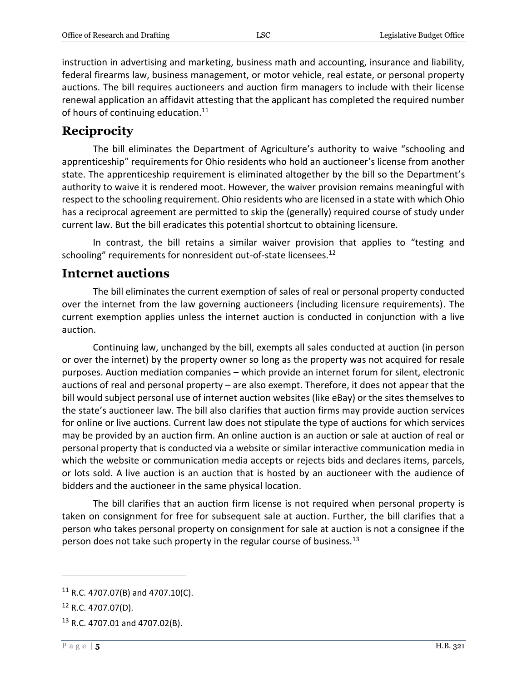instruction in advertising and marketing, business math and accounting, insurance and liability, federal firearms law, business management, or motor vehicle, real estate, or personal property auctions. The bill requires auctioneers and auction firm managers to include with their license renewal application an affidavit attesting that the applicant has completed the required number of hours of continuing education.<sup>11</sup>

### **Reciprocity**

The bill eliminates the Department of Agriculture's authority to waive "schooling and apprenticeship" requirements for Ohio residents who hold an auctioneer's license from another state. The apprenticeship requirement is eliminated altogether by the bill so the Department's authority to waive it is rendered moot. However, the waiver provision remains meaningful with respect to the schooling requirement. Ohio residents who are licensed in a state with which Ohio has a reciprocal agreement are permitted to skip the (generally) required course of study under current law. But the bill eradicates this potential shortcut to obtaining licensure.

In contrast, the bill retains a similar waiver provision that applies to "testing and schooling" requirements for nonresident out-of-state licensees.<sup>12</sup>

#### **Internet auctions**

The bill eliminates the current exemption of sales of real or personal property conducted over the internet from the law governing auctioneers (including licensure requirements). The current exemption applies unless the internet auction is conducted in conjunction with a live auction.

Continuing law, unchanged by the bill, exempts all sales conducted at auction (in person or over the internet) by the property owner so long as the property was not acquired for resale purposes. Auction mediation companies – which provide an internet forum for silent, electronic auctions of real and personal property – are also exempt. Therefore, it does not appear that the bill would subject personal use of internet auction websites (like eBay) or the sites themselves to the state's auctioneer law. The bill also clarifies that auction firms may provide auction services for online or live auctions. Current law does not stipulate the type of auctions for which services may be provided by an auction firm. An online auction is an auction or sale at auction of real or personal property that is conducted via a website or similar interactive communication media in which the website or communication media accepts or rejects bids and declares items, parcels, or lots sold. A live auction is an auction that is hosted by an auctioneer with the audience of bidders and the auctioneer in the same physical location.

The bill clarifies that an auction firm license is not required when personal property is taken on consignment for free for subsequent sale at auction. Further, the bill clarifies that a person who takes personal property on consignment for sale at auction is not a consignee if the person does not take such property in the regular course of business.<sup>13</sup>

 $11$  R.C. 4707.07(B) and 4707.10(C).

 $12$  R.C. 4707.07(D).

 $13$  R.C. 4707.01 and 4707.02(B).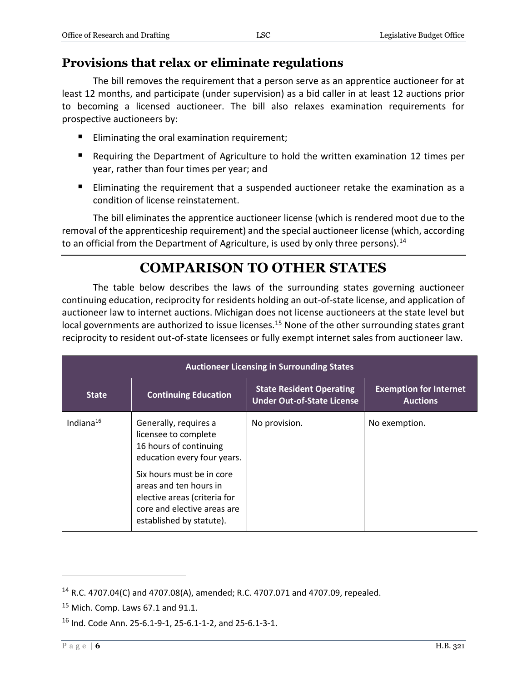# **Provisions that relax or eliminate regulations**

The bill removes the requirement that a person serve as an apprentice auctioneer for at least 12 months, and participate (under supervision) as a bid caller in at least 12 auctions prior to becoming a licensed auctioneer. The bill also relaxes examination requirements for prospective auctioneers by:

- **Eliminating the oral examination requirement;**
- Requiring the Department of Agriculture to hold the written examination 12 times per year, rather than four times per year; and
- **Eliminating the requirement that a suspended auctioneer retake the examination as a** condition of license reinstatement.

The bill eliminates the apprentice auctioneer license (which is rendered moot due to the removal of the apprenticeship requirement) and the special auctioneer license (which, according to an official from the Department of Agriculture, is used by only three persons).<sup>14</sup>

# **COMPARISON TO OTHER STATES**

The table below describes the laws of the surrounding states governing auctioneer continuing education, reciprocity for residents holding an out-of-state license, and application of auctioneer law to internet auctions. Michigan does not license auctioneers at the state level but local governments are authorized to issue licenses.<sup>15</sup> None of the other surrounding states grant reciprocity to resident out-of-state licensees or fully exempt internet sales from auctioneer law.

| <b>Auctioneer Licensing in Surrounding States</b> |                                                                                                                                     |                                                                      |                                                  |  |
|---------------------------------------------------|-------------------------------------------------------------------------------------------------------------------------------------|----------------------------------------------------------------------|--------------------------------------------------|--|
| <b>State</b>                                      | <b>Continuing Education</b>                                                                                                         | <b>State Resident Operating</b><br><b>Under Out-of-State License</b> | <b>Exemption for Internet</b><br><b>Auctions</b> |  |
| Indiana $16$                                      | Generally, requires a<br>licensee to complete<br>16 hours of continuing<br>education every four years.<br>Six hours must be in core | No provision.                                                        | No exemption.                                    |  |
|                                                   | areas and ten hours in<br>elective areas (criteria for<br>core and elective areas are<br>established by statute).                   |                                                                      |                                                  |  |

<sup>14</sup> R.C. 4707.04(C) and 4707.08(A), amended; R.C. 4707.071 and 4707.09, repealed.

 $15$  Mich. Comp. Laws 67.1 and 91.1.

<sup>16</sup> Ind. Code Ann. 25-6.1-9-1, 25-6.1-1-2, and 25-6.1-3-1.